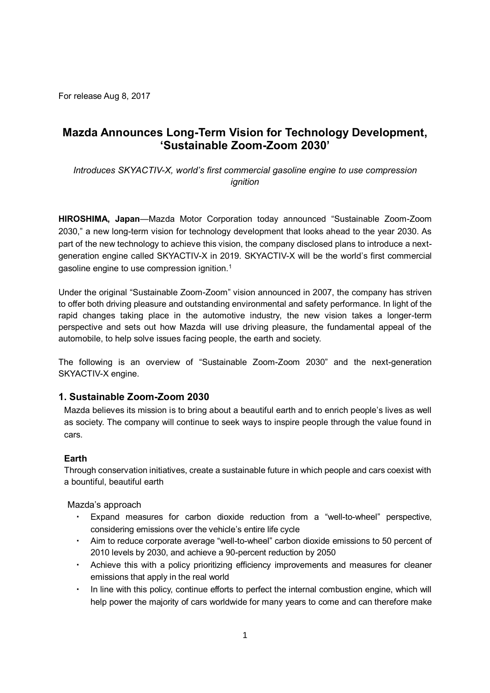For release Aug 8, 2017

# **Mazda Announces Long-Term Vision for Technology Development, 'Sustainable Zoom-Zoom 2030'**

*Introduces SKYACTIV-X, world's first commercial gasoline engine to use compression ignition* 

**HIROSHIMA, Japan**—Mazda Motor Corporation today announced "Sustainable Zoom-Zoom 2030," a new long-term vision for technology development that looks ahead to the year 2030. As part of the new technology to achieve this vision, the company disclosed plans to introduce a nextgeneration engine called SKYACTIV-X in 2019. SKYACTIV-X will be the world's first commercial gasoline engine to use compression ignition.<sup>1</sup>

Under the original "Sustainable Zoom-Zoom" vision announced in 2007, the company has striven to offer both driving pleasure and outstanding environmental and safety performance. In light of the rapid changes taking place in the automotive industry, the new vision takes a longer-term perspective and sets out how Mazda will use driving pleasure, the fundamental appeal of the automobile, to help solve issues facing people, the earth and society.

The following is an overview of "Sustainable Zoom-Zoom 2030" and the next-generation SKYACTIV-X engine.

### **1. Sustainable Zoom-Zoom 2030**

Mazda believes its mission is to bring about a beautiful earth and to enrich people's lives as well as society. The company will continue to seek ways to inspire people through the value found in cars.

### **Earth**

Through conservation initiatives, create a sustainable future in which people and cars coexist with a bountiful, beautiful earth

Mazda's approach

- Expand measures for carbon dioxide reduction from a "well-to-wheel" perspective, considering emissions over the vehicle's entire life cycle
- Aim to reduce corporate average "well-to-wheel" carbon dioxide emissions to 50 percent of 2010 levels by 2030, and achieve a 90-percent reduction by 2050
- Achieve this with a policy prioritizing efficiency improvements and measures for cleaner emissions that apply in the real world
- In line with this policy, continue efforts to perfect the internal combustion engine, which will help power the majority of cars worldwide for many years to come and can therefore make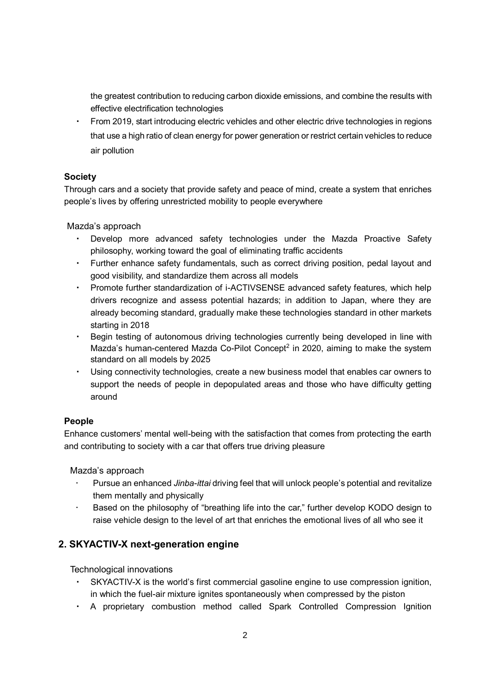the greatest contribution to reducing carbon dioxide emissions, and combine the results with effective electrification technologies

From 2019, start introducing electric vehicles and other electric drive technologies in regions that use a high ratio of clean energy for power generation or restrict certain vehicles to reduce air pollution

## **Society**

Through cars and a society that provide safety and peace of mind, create a system that enriches people's lives by offering unrestricted mobility to people everywhere

Mazda's approach

- Develop more advanced safety technologies under the Mazda Proactive Safety philosophy, working toward the goal of eliminating traffic accidents
- Further enhance safety fundamentals, such as correct driving position, pedal layout and good visibility, and standardize them across all models
- ・ Promote further standardization of i-ACTIVSENSE advanced safety features, which help drivers recognize and assess potential hazards; in addition to Japan, where they are already becoming standard, gradually make these technologies standard in other markets starting in 2018
- ・ Begin testing of autonomous driving technologies currently being developed in line with Mazda's human-centered Mazda Co-Pilot Concept<sup>2</sup> in 2020, aiming to make the system standard on all models by 2025
- ・ Using connectivity technologies, create a new business model that enables car owners to support the needs of people in depopulated areas and those who have difficulty getting around

### **People**

Enhance customers' mental well-being with the satisfaction that comes from protecting the earth and contributing to society with a car that offers true driving pleasure

Mazda's approach

- Pursue an enhanced *Jinba-ittai* driving feel that will unlock people's potential and revitalize them mentally and physically
- Based on the philosophy of "breathing life into the car," further develop KODO design to raise vehicle design to the level of art that enriches the emotional lives of all who see it

## **2. SKYACTIV-X next-generation engine**

Technological innovations

- SKYACTIV-X is the world's first commercial gasoline engine to use compression ignition, in which the fuel-air mixture ignites spontaneously when compressed by the piston
- ・ A proprietary combustion method called Spark Controlled Compression Ignition